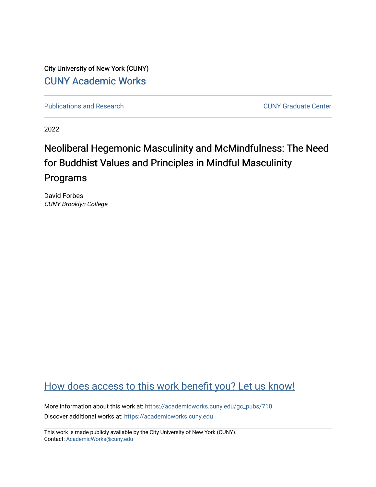City University of New York (CUNY) [CUNY Academic Works](https://academicworks.cuny.edu/) 

[Publications and Research](https://academicworks.cuny.edu/gc_pubs) [CUNY Graduate Center](https://academicworks.cuny.edu/gc) 

2022

# Neoliberal Hegemonic Masculinity and McMindfulness: The Need for Buddhist Values and Principles in Mindful Masculinity Programs

David Forbes CUNY Brooklyn College

# [How does access to this work benefit you? Let us know!](http://ols.cuny.edu/academicworks/?ref=https://academicworks.cuny.edu/gc_pubs/710)

More information about this work at: [https://academicworks.cuny.edu/gc\\_pubs/710](https://academicworks.cuny.edu/gc_pubs/710) Discover additional works at: [https://academicworks.cuny.edu](https://academicworks.cuny.edu/?)

This work is made publicly available by the City University of New York (CUNY). Contact: [AcademicWorks@cuny.edu](mailto:AcademicWorks@cuny.edu)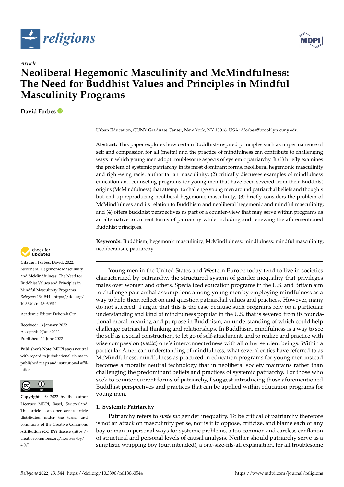



# *Article* **Neoliberal Hegemonic Masculinity and McMindfulness: The Need for Buddhist Values and Principles in Mindful Masculinity Programs**

**David Forbes**

Urban Education, CUNY Graduate Center, New York, NY 10016, USA; dforbes@brooklyn.cuny.edu

**Abstract:** This paper explores how certain Buddhist-inspired principles such as impermanence of self and compassion for all (metta) and the practice of mindfulness can contribute to challenging ways in which young men adopt troublesome aspects of systemic patriarchy. It (1) briefly examines the problem of systemic patriarchy in its most dominant forms, neoliberal hegemonic masculinity and right-wing racist authoritarian masculinity; (2) critically discusses examples of mindfulness education and counseling programs for young men that have been severed from their Buddhist origins (McMindfulness) that attempt to challenge young men around patriarchal beliefs and thoughts but end up reproducing neoliberal hegemonic masculinity; (3) briefly considers the problem of McMindfulness and its relation to Buddhism and neoliberal hegemonic and mindful masculinity; and (4) offers Buddhist perspectives as part of a counter-view that may serve within programs as an alternative to current forms of patriarchy while including and renewing the aforementioned Buddhist principles.

**Keywords:** Buddhism; hegemonic masculinity; McMindfulness; mindfulness; mindful masculinity; neoliberalism; patriarchy

Young men in the United States and Western Europe today tend to live in societies characterized by patriarchy, the structured system of gender inequality that privileges males over women and others. Specialized education programs in the U.S. and Britain aim to challenge patriarchal assumptions among young men by employing mindfulness as a way to help them reflect on and question patriarchal values and practices. However, many do not succeed. I argue that this is the case because such programs rely on a particular understanding and kind of mindfulness popular in the U.S. that is severed from its foundational moral meaning and purpose in Buddhism, an understanding of which could help challenge patriarchal thinking and relationships. In Buddhism, mindfulness is a way to see the self as a social construction, to let go of self-attachment, and to realize and practice with wise compassion (*metta*) one's interconnectedness with all other sentient beings. Within a particular American understanding of mindfulness, what several critics have referred to as McMindfulness, mindfulness as practiced in education programs for young men instead becomes a morally neutral technology that in neoliberal society maintains rather than challenging the predominant beliefs and practices of systemic patriarchy. For those who seek to counter current forms of patriarchy, I suggest introducing those aforementioned Buddhist perspectives and practices that can be applied within education programs for young men.

# **1. Systemic Patriarchy**

Patriarchy refers to *systemic* gender inequality. To be critical of patriarchy therefore is not an attack on masculinity per se, nor is it to oppose, criticize, and blame each or any boy or man in personal ways for systemic problems, a too-common and careless conflation of structural and personal levels of causal analysis. Neither should patriarchy serve as a simplistic whipping boy (pun intended), a one-size-fits-all explanation, for all troublesome



**Citation:** Forbes, David. 2022. Neoliberal Hegemonic Masculinity and McMindfulness: The Need for Buddhist Values and Principles in Mindful Masculinity Programs. *Religions* 13: 544. [https://doi.org/](https://doi.org/10.3390/rel13060544) [10.3390/rel13060544](https://doi.org/10.3390/rel13060544)

Academic Editor: Deborah Orr

Received: 13 January 2022 Accepted: 9 June 2022 Published: 14 June 2022

**Publisher's Note:** MDPI stays neutral with regard to jurisdictional claims in published maps and institutional affiliations.



**Copyright:** © 2022 by the author. Licensee MDPI, Basel, Switzerland. This article is an open access article distributed under the terms and conditions of the Creative Commons Attribution (CC BY) license [\(https://](https://creativecommons.org/licenses/by/4.0/) [creativecommons.org/licenses/by/](https://creativecommons.org/licenses/by/4.0/)  $4.0/$ ).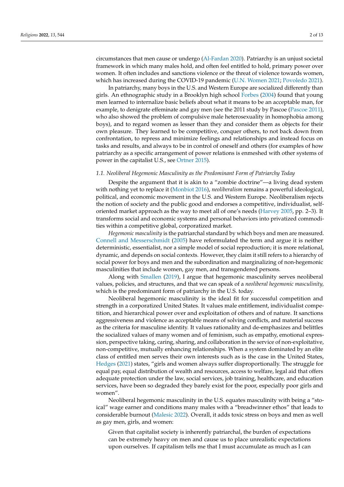circumstances that men cause or undergo [\(Al-Fardan](#page-12-0) [2020\)](#page-12-0). Patriarchy is an unjust societal framework in which many males hold, and often feel entitled to hold, primary power over women. It often includes and sanctions violence or the threat of violence towards women, which has increased during the COVID-19 pandemic [\(U.N. Women](#page-13-0) [2021;](#page-13-0) [Povoledo](#page-13-1) [2021\)](#page-13-1).

In patriarchy, many boys in the U.S. and Western Europe are socialized differently than girls. An ethnographic study in a Brooklyn high school [Forbes](#page-12-1) [\(2004\)](#page-12-1) found that young men learned to internalize basic beliefs about what it means to be an acceptable man, for example, to denigrate effeminate and gay men (see the 2011 study by Pascoe [\(Pascoe](#page-13-2) [2011\)](#page-13-2), who also showed the problem of compulsive male heterosexuality in homophobia among boys), and to regard women as lesser than they and consider them as objects for their own pleasure. They learned to be competitive, conquer others, to not back down from confrontation, to repress and minimize feelings and relationships and instead focus on tasks and results, and always to be in control of oneself and others (for examples of how patriarchy as a specific arrangement of power relations is enmeshed with other systems of power in the capitalist U.S., see [Ortner](#page-13-3) [2015\)](#page-13-3).

### *1.1. Neoliberal Hegemonic Masculinity as the Predominant Form of Patriarchy Today*

Despite the argument that it is akin to a "zombie doctrine"—a living dead system with nothing yet to replace it [\(Monbiot](#page-13-4) [2016\)](#page-13-4), *neoliberalism* remains a powerful ideological, political, and economic movement in the U.S. and Western Europe. Neoliberalism rejects the notion of society and the public good and endorses a competitive, individualist, selforiented market approach as the way to meet all of one's needs [\(Harvey](#page-12-2) [2005,](#page-12-2) pp. 2–3). It transforms social and economic systems and personal behaviors into privatized commodities within a competitive global, corporatized market.

*Hegemonic masculinity* is the patriarchal standard by which boys and men are measured. [Connell and Messerschmidt](#page-12-3) [\(2005\)](#page-12-3) have reformulated the term and argue it is neither deterministic, essentialist, nor a simple model of social reproduction; it is more relational, dynamic, and depends on social contexts. However, they claim it still refers to a hierarchy of social power for boys and men and the subordination and marginalizing of non-hegemonic masculinities that include women, gay men, and transgendered persons.

Along with [Smallen](#page-13-5) [\(2019\)](#page-13-5), I argue that hegemonic masculinity serves neoliberal values, policies, and structures, and that we can speak of a *neoliberal hegemonic masculinity,* which is the predominant form of patriarchy in the U.S. today.

Neoliberal hegemonic masculinity is the ideal fit for successful competition and strength in a corporatized United States. It values male entitlement, individualist competition, and hierarchical power over and exploitation of others and of nature. It sanctions aggressiveness and violence as acceptable means of solving conflicts, and material success as the criteria for masculine identity. It values rationality and de-emphasizes and belittles the socialized values of many women and of feminism, such as empathy, emotional expression, perspective taking, caring, sharing, and collaboration in the service of non-exploitative, non-competitive, mutually enhancing relationships. When a system dominated by an elite class of entitled men serves their own interests such as is the case in the United States, [Hedges](#page-12-4) [\(2021\)](#page-12-4) states, "girls and women always suffer disproportionally. The struggle for equal pay, equal distribution of wealth and resources, access to welfare, legal aid that offers adequate protection under the law, social services, job training, healthcare, and education services, have been so degraded they barely exist for the poor, especially poor girls and women".

Neoliberal hegemonic masculinity in the U.S. equates masculinity with being a "stoical" wage earner and conditions many males with a "breadwinner ethos" that leads to considerable burnout [\(Malesic](#page-13-6) [2022\)](#page-13-6). Overall, it adds toxic stress on boys and men as well as gay men, girls, and women:

Given that capitalist society is inherently patriarchal, the burden of expectations can be extremely heavy on men and cause us to place unrealistic expectations upon ourselves. If capitalism tells me that I must accumulate as much as I can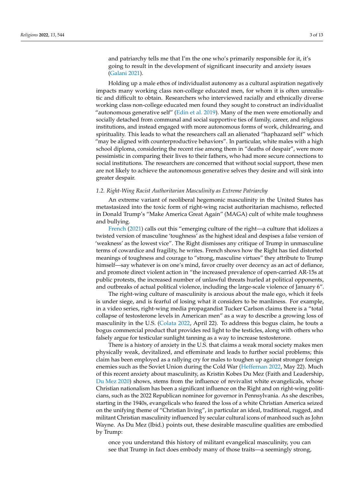and patriarchy tells me that I'm the one who's primarily responsible for it, it's going to result in the development of significant insecurity and anxiety issues [\(Galani](#page-12-5) [2021\)](#page-12-5).

Holding up a male ethos of individualist autonomy as a cultural aspiration negatively impacts many working class non-college educated men, for whom it is often unrealistic and difficult to obtain. Researchers who interviewed racially and ethnically diverse working class non-college educated men found they sought to construct an individualist "autonomous generative self" [\(Edin et al.](#page-12-6) [2019\)](#page-12-6). Many of the men were emotionally and socially detached from communal and social supportive ties of family, career, and religious institutions, and instead engaged with more autonomous forms of work, childrearing, and spirituality. This leads to what the researchers call an alienated "haphazard self" which "may be aligned with counterproductive behaviors". In particular, white males with a high school diploma, considering the recent rise among them in "deaths of despair", were more pessimistic in comparing their lives to their fathers, who had more secure connections to social institutions. The researchers are concerned that without social support, these men are not likely to achieve the autonomous generative selves they desire and will sink into greater despair.

#### *1.2. Right-Wing Racist Authoritarian Masculinity as Extreme Patriarchy*

An extreme variant of neoliberal hegemonic masculinity in the United States has metastasized into the toxic form of right-wing racist authoritarian machismo, reflected in Donald Trump's "Make America Great Again" (MAGA) cult of white male toughness and bullying.

[French](#page-12-7) [\(2021\)](#page-12-7) calls out this "emerging culture of the right—a culture that idolizes a twisted version of masculine 'toughness' as the highest ideal and despises a false version of 'weakness' as the lowest vice". The Right dismisses any critique of Trump in unmasculine terms of cowardice and fragility, he writes. French shows how the Right has tied distorted meanings of toughness and courage to "strong, masculine virtues" they attribute to Trump himself—say whatever is on one's mind, favor cruelty over decency as an act of defiance, and promote direct violent action in "the increased prevalence of open-carried AR-15s at public protests, the increased number of unlawful threats hurled at political opponents, and outbreaks of actual political violence, including the large-scale violence of January 6".

The right-wing culture of masculinity is anxious about the male ego, which it feels is under siege, and is fearful of losing what it considers to be manliness. For example, in a video series, right-wing media propagandist Tucker Carlson claims there is a "total collapse of testosterone levels in American men" as a way to describe a growing loss of masculinity in the U.S. [\(Colata](#page-12-8) [2022,](#page-12-8) April 22). To address this bogus claim, he touts a bogus commercial product that provides red light to the testicles, along with others who falsely argue for testicular sunlight tanning as a way to increase testosterone.

There is a history of anxiety in the U.S. that claims a weak moral society makes men physically weak, devitalized, and effeminate and leads to further social problems; this claim has been employed as a rallying cry for males to toughen up against stronger foreign enemies such as the Soviet Union during the Cold War [\(Heffernan](#page-12-9) [2022,](#page-12-9) May 22). Much of this recent anxiety about masculinity, as Kristin Kobes Du Mez (Faith and Leadership, [Du Mez](#page-12-10) [2020\)](#page-12-10) shows, stems from the influence of revivalist white evangelicals, whose Christian nationalism has been a significant influence on the Right and on right-wing politicians, such as the 2022 Republican nominee for governor in Pennsylvania. As she describes, starting in the 1940s, evangelicals who feared the loss of a white Christian America seized on the unifying theme of "Christian living", in particular an ideal, traditional, rugged, and militant Christian masculinity influenced by secular cultural icons of manhood such as John Wayne. As Du Mez (Ibid.) points out, these desirable masculine qualities are embodied by Trump:

once you understand this history of militant evangelical masculinity, you can see that Trump in fact does embody many of those traits—a seemingly strong,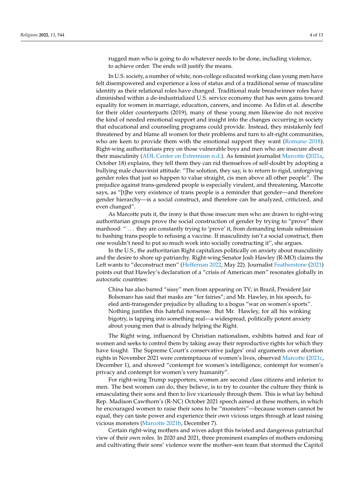rugged man who is going to do whatever needs to be done, including violence, to achieve order. The ends will justify the means.

In U.S. society, a number of white, non-college educated working class young men have felt disempowered and experience a loss of status and of a traditional sense of masculine identity as their relational roles have changed. Traditional male breadwinner roles have diminished within a de-industrialized U.S. service economy that has seen gains toward equality for women in marriage, education, careers, and income. As Edin et al. describe for their older counterparts (2019), many of these young men likewise do not receive the kind of needed emotional support and insight into the changes occurring in society that educational and counseling programs could provide. Instead, they mistakenly feel threatened by and blame all women for their problems and turn to alt-right communities, who are keen to provide them with the emotional support they want [\(Romano](#page-13-7) [2018\)](#page-13-7). Right-wing authoritarians prey on those vulnerable boys and men who are insecure about their masculinity [\(ADL Center on Extremism](#page-12-11) [n.d.\)](#page-12-11). As feminist journalist [Marcotte](#page-13-8) [\(2021a,](#page-13-8) October 18) explains, they tell them they can rid themselves of self-doubt by adopting a bullying male chauvinist attitude: "The solution, they say, is to return to rigid, unforgiving gender roles that just so happen to value straight, cis men above all other people". The prejudice against trans-gendered people is especially virulent, and threatening, Marcotte says, as "[t]he very existence of trans people is a reminder that gender—and therefore gender hierarchy—is a social construct, and therefore can be analyzed, criticized, and even changed".

As Marcotte puts it, the irony is that those insecure men who are drawn to right-wing authoritarian groups prove the social construction of gender by trying to "prove" their manhood: "... they are constantly trying to 'prove' it, from demanding female submission to bashing trans people to refusing a vaccine. If masculinity isn't a social construct, then one wouldn't need to put so much work into socially constructing it", she argues.

In the U.S., the authoritarian Right capitalizes politically on anxiety about masculinity and the desire to shore up patriarchy. Right-wing Senator Josh Hawley (R-MO) claims the Left wants to "deconstruct men" [\(Heffernan](#page-12-9) [2022,](#page-12-9) May 22). Journalist [Featherstone](#page-12-12) [\(2021\)](#page-12-12) points out that Hawley's declaration of a "crisis of American men" resonates globally in autocratic countries:

China has also barred "sissy" men from appearing on TV; in Brazil, President Jair Bolsonaro has said that masks are "for fairies"; and Mr. Hawley, in his speech, fueled anti-transgender prejudice by alluding to a bogus "war on women's sports". Nothing justifies this hateful nonsense. But Mr. Hawley, for all his winking bigotry, is tapping into something real—a widespread, politically potent anxiety about young men that is already helping the Right.

The Right wing, influenced by Christian nationalism, exhibits hatred and fear of women and seeks to control them by taking away their reproductive rights for which they have fought. The Supreme Court's conservative judges' oral arguments over abortion rights in November 2021 were contemptuous of women's lives, observed [Marcotte](#page-13-9) [\(2021c,](#page-13-9) December 1), and showed "contempt for women's intelligence, contempt for women's privacy and contempt for women's very humanity".

For right-wing Trump supporters, women are second class citizens and inferior to men. The best women can do, they believe, is to try to counter the culture they think is emasculating their sons and then to live vicariously through them. This is what lay behind Rep. Madison Cawthorn's (R-NC) October 2021 speech aimed at these mothers, in which he encouraged women to raise their sons to be "monsters"—because women cannot be equal, they can taste power and experience their own vicious urges through at least raising vicious monsters [\(Marcotte](#page-13-10) [2021b,](#page-13-10) December 7).

Certain right-wing mothers and wives adopt this twisted and dangerous patriarchal view of their own roles. In 2020 and 2021, three prominent examples of mothers endorsing and cultivating their sons' violence were the mother–son team that stormed the Capitol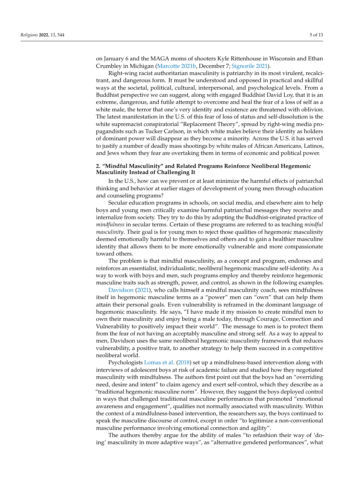on January 6 and the MAGA moms of shooters Kyle Rittenhouse in Wisconsin and Ethan Crumbley in Michigan [\(Marcotte](#page-13-10) [2021b,](#page-13-10) December 7; [Signorile](#page-13-11) [2021\)](#page-13-11).

Right-wing racist authoritarian masculinity is patriarchy in its most virulent, recalcitrant, and dangerous form. It must be understood and opposed in practical and skillful ways at the societal, political, cultural, interpersonal, and psychological levels. From a Buddhist perspective we can suggest, along with engaged Buddhist David Loy, that it is an extreme, dangerous, and futile attempt to overcome and heal the fear of a loss of self as a white male, the terror that one's very identity and existence are threatened with oblivion. The latest manifestation in the U.S. of this fear of loss of status and self-dissolution is the white supremacist conspiratorial "Replacement Theory", spread by right-wing media propagandists such as Tucker Carlson, in which white males believe their identity as holders of dominant power will disappear as they become a minority. Across the U.S. it has served to justify a number of deadly mass shootings by white males of African Americans, Latinos, and Jews whom they fear are overtaking them in terms of economic and political power.

# **2. "Mindful Masculinity" and Related Programs Reinforce Neoliberal Hegemonic Masculinity Instead of Challenging It**

In the U.S., how can we prevent or at least minimize the harmful effects of patriarchal thinking and behavior at earlier stages of development of young men through education and counseling programs?

Secular education programs in schools, on social media, and elsewhere aim to help boys and young men critically examine harmful patriarchal messages they receive and internalize from society. They try to do this by adopting the Buddhist-originated practice of *mindfulness* in secular terms. Certain of these programs are referred to as teaching *mindful masculinity*. Their goal is for young men to reject those qualities of hegemonic masculinity deemed emotionally harmful to themselves and others and to gain a healthier masculine identity that allows them to be more emotionally vulnerable and more compassionate toward others.

The problem is that mindful masculinity, as a concept and program, endorses and reinforces an essentialist, individualistic, neoliberal hegemonic masculine self-identity. As a way to work with boys and men, such programs employ and thereby reinforce hegemonic masculine traits such as strength, power, and control, as shown in the following examples.

[Davidson](#page-12-13) [\(2021\)](#page-12-13), who calls himself a mindful masculinity coach, sees mindfulness itself in hegemonic masculine terms as a "power" men can "own" that can help them attain their personal goals. Even vulnerability is reframed in the dominant language of hegemonic masculinity. He says, "I have made it my mission to create mindful men to own their masculinity and enjoy being a male today, through Courage, Connection and Vulnerability to positively impact their world". The message to men is to protect them from the fear of not having an acceptably masculine and strong self. As a way to appeal to men, Davidson uses the same neoliberal hegemonic masculinity framework that reduces vulnerability, a positive trait, to another strategy to help them succeed in a competitive neoliberal world.

Psychologists [Lomas et al.](#page-13-12) [\(2018\)](#page-13-12) set up a mindfulness-based intervention along with interviews of adolescent boys at risk of academic failure and studied how they negotiated masculinity with mindfulness. The authors first point out that the boys had an "overriding need, desire and intent" to claim agency and exert self-control, which they describe as a "traditional hegemonic masculine norm". However, they suggest the boys deployed control in ways that challenged traditional masculine performances that promoted "emotional awareness and engagement", qualities not normally associated with masculinity. Within the context of a mindfulness-based intervention, the researchers say, the boys continued to speak the masculine discourse of control, except in order "to legitimize a non-conventional masculine performance involving emotional connection and agility".

The authors thereby argue for the ability of males "to refashion their way of 'doing' masculinity in more adaptive ways", as "alternative gendered performances", what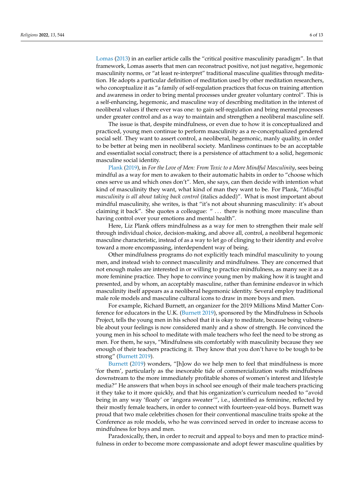[Lomas](#page-12-14) [\(2013\)](#page-12-14) in an earlier article calls the "critical positive masculinity paradigm". In that framework, Lomas asserts that men can reconstruct positive, not just negative, hegemonic masculinity norms, or "at least re-interpret" traditional masculine qualities through meditation. He adopts a particular definition of meditation used by other meditation researchers, who conceptualize it as "a family of self-regulation practices that focus on training attention and awareness in order to bring mental processes under greater voluntary control". This is a self-enhancing, hegemonic, and masculine way of describing meditation in the interest of neoliberal values if there ever was one: to gain self-regulation and bring mental processes under greater control and as a way to maintain and strengthen a neoliberal masculine self.

The issue is that, despite mindfulness, or even due to how it is conceptualized and practiced, young men continue to perform masculinity as a re-conceptualized gendered social self. They want to assert control, a neoliberal, hegemonic, manly quality, in order to be better at being men in neoliberal society. Manliness continues to be an acceptable and essentialist social construct; there is a persistence of attachment to a solid, hegemonic masculine social identity.

[Plank](#page-13-13) [\(2019\)](#page-13-13), in *For the Love of Men: From Toxic to a More Mindful Masculinity*, sees being mindful as a way for men to awaken to their automatic habits in order to "choose which ones serve us and which ones don't". Men, she says, can then decide with intention what kind of masculinity they want, what kind of man they want to be. For Plank, "*Mindful masculinity is all about taking back control* (italics added)". What is most important about mindful masculinity, she writes, is that "it's not about shunning masculinity: it's about claiming it back". She quotes a colleague: " ... there is nothing more masculine than having control over your emotions and mental health".

Here, Liz Plank offers mindfulness as a way for men to strengthen their male self through individual choice, decision-making, and above all, control, a neoliberal hegemonic masculine characteristic, instead of as a way to let go of clinging to their identity and evolve toward a more encompassing, interdependent way of being.

Other mindfulness programs do not explicitly teach mindful masculinity to young men, and instead wish to connect masculinity and mindfulness. They are concerned that not enough males are interested in or willing to practice mindfulness, as many see it as a more feminine practice. They hope to convince young men by making how it is taught and presented, and by whom, an acceptably masculine, rather than feminine endeavor in which masculinity itself appears as a neoliberal hegemonic identity. Several employ traditional male role models and masculine cultural icons to draw in more boys and men.

For example, Richard Burnett, an organizer for the 2019 Millions Mind Matter Conference for educators in the U.K. [\(Burnett](#page-12-15) [2019\)](#page-12-15), sponsored by the Mindfulness in Schools Project, tells the young men in his school that it is okay to meditate, because being vulnerable about your feelings is now considered manly and a show of strength. He convinced the young men in his school to meditate with male teachers who feel the need to be strong as men. For them, he says, "Mindfulness sits comfortably with masculinity because they see enough of their teachers practicing it. They know that you don't have to be tough to be strong" [\(Burnett](#page-12-15) [2019\)](#page-12-15).

[Burnett](#page-12-15) [\(2019\)](#page-12-15) wonders, "[h]ow do we help men to feel that mindfulness is more 'for them', particularly as the inexorable tide of commercialization wafts mindfulness downstream to the more immediately profitable shores of women's interest and lifestyle media?" He answers that when boys in school see enough of their male teachers practicing it they take to it more quickly, and that his organization's curriculum needed to "avoid being in any way 'floaty' or 'angora sweater'", i.e., identified as feminine, reflected by their mostly female teachers, in order to connect with fourteen-year-old boys. Burnett was proud that two male celebrities chosen for their conventional masculine traits spoke at the Conference as role models, who he was convinced served in order to increase access to mindfulness for boys and men.

Paradoxically, then, in order to recruit and appeal to boys and men to practice mindfulness in order to become more compassionate and adopt fewer masculine qualities by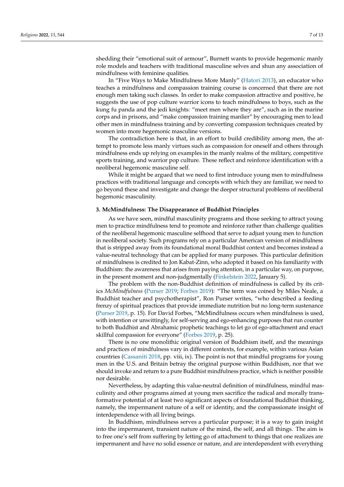shedding their "emotional suit of armour", Burnett wants to provide hegemonic manly role models and teachers with traditional masculine selves and shun any association of mindfulness with feminine qualities.

In "Five Ways to Make Mindfulness More Manly" [\(Hatori](#page-12-16) [2013\)](#page-12-16), an educator who teaches a mindfulness and compassion training course is concerned that there are not enough men taking such classes. In order to make compassion attractive and positive, he suggests the use of pop culture warrior icons to teach mindfulness to boys, such as the kung fu panda and the jedi knights: "meet men where they are", such as in the marine corps and in prisons, and "make compassion training manlier" by encouraging men to lead other men in mindfulness training and by converting compassion techniques created by women into more hegemonic masculine versions.

The contradiction here is that, in an effort to build credibility among men, the attempt to promote less manly virtues such as compassion for oneself and others through mindfulness ends up relying on examples in the manly realms of the military, competitive sports training, and warrior pop culture. These reflect and reinforce identification with a neoliberal hegemonic masculine self.

While it might be argued that we need to first introduce young men to mindfulness practices with traditional language and concepts with which they are familiar, we need to go beyond these and investigate and change the deeper structural problems of neoliberal hegemonic masculinity.

#### **3. McMindfulness: The Disappearance of Buddhist Principles**

As we have seen, mindful masculinity programs and those seeking to attract young men to practice mindfulness tend to promote and reinforce rather than challenge qualities of the neoliberal hegemonic masculine selfhood that serve to adjust young men to function in neoliberal society. Such programs rely on a particular American version of mindfulness that is stripped away from its foundational moral Buddhist context and becomes instead a value-neutral technology that can be applied for many purposes. This particular definition of mindfulness is credited to Jon Kabat-Zinn, who adopted it based on his familiarity with Buddhism: the awareness that arises from paying attention, in a particular way, on purpose, in the present moment and non-judgmentally [\(Finkelstein](#page-12-17) [2022,](#page-12-17) January 5).

The problem with the non-Buddhist definition of mindfulness is called by its critics *McMindfulness* [\(Purser](#page-13-14) [2019;](#page-13-14) [Forbes](#page-12-18) [2019\)](#page-12-18): "The term was coined by Miles Neale, a Buddhist teacher and psychotherapist", Ron Purser writes, "who described a feeding frenzy of spiritual practices that provide immediate nutrition but no long-term sustenance [\(Purser](#page-13-14) [2019,](#page-13-14) p. 15). For David Forbes, "McMindfulness occurs when mindfulness is used, with intention or unwittingly, for self-serving and ego-enhancing purposes that run counter to both Buddhist and Abrahamic prophetic teachings to let go of ego-attachment and enact skillful compassion for everyone" [\(Forbes](#page-12-18) [2019,](#page-12-18) p. 25).

There is no one monolithic original version of Buddhism itself, and the meanings and practices of mindfulness vary in different contexts, for example, within various Asian countries [\(Cassaniti](#page-12-19) [2018,](#page-12-19) pp. viii, ix). The point is not that mindful programs for young men in the U.S. and Britain betray the original purpose within Buddhism, nor that we should invoke and return to a pure Buddhist mindfulness practice, which is neither possible nor desirable.

Nevertheless, by adapting this value-neutral definition of mindfulness, mindful masculinity and other programs aimed at young men sacrifice the radical and morally transformative potential of at least two significant aspects of foundational Buddhist thinking, namely, the impermanent nature of a self or identity, and the compassionate insight of interdependence with all living beings.

In Buddhism, mindfulness serves a particular purpose; it is a way to gain insight into the impermanent, transient nature of the mind, the self, and all things. The aim is to free one's self from suffering by letting go of attachment to things that one realizes are impermanent and have no solid essence or nature, and are interdependent with everything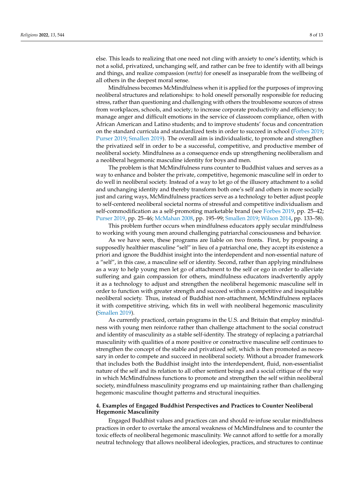else. This leads to realizing that one need not cling with anxiety to one's identity, which is not a solid, privatized, unchanging self, and rather can be free to identify with all beings and things, and realize compassion (*metta*) for oneself as inseparable from the wellbeing of all others in the deepest moral sense.

Mindfulness becomes McMindfulness when it is applied for the purposes of improving neoliberal structures and relationships: to hold oneself personally responsible for reducing stress, rather than questioning and challenging with others the troublesome sources of stress from workplaces, schools, and society; to increase corporate productivity and efficiency; to manage anger and difficult emotions in the service of classroom compliance, often with African American and Latino students; and to improve students' focus and concentration on the standard curricula and standardized tests in order to succeed in school [\(Forbes](#page-12-18) [2019;](#page-12-18) [Purser](#page-13-14) [2019;](#page-13-14) [Smallen](#page-13-5) [2019\)](#page-13-5). The overall aim is individualistic, to promote and strengthen the privatized self in order to be a successful, competitive, and productive member of neoliberal society. Mindfulness as a consequence ends up strengthening neoliberalism and a neoliberal hegemonic masculine identity for boys and men.

The problem is that McMindfulness runs counter to Buddhist values and serves as a way to enhance and bolster the private, competitive, hegemonic masculine self in order to do well in neoliberal society. Instead of a way to let go of the illusory attachment to a solid and unchanging identity and thereby transform both one's self and others in more socially just and caring ways, McMindfulness practices serve as a technology to better adjust people to self-centered neoliberal societal norms of stressful and competitive individualism and self-commodification as a self-promoting marketable brand (see [Forbes](#page-12-18) [2019,](#page-12-18) pp. 25–42; [Purser](#page-13-14) [2019,](#page-13-14) pp. 25–46; [McMahan](#page-13-15) [2008,](#page-13-15) pp. 195–99; [Smallen](#page-13-5) [2019;](#page-13-5) [Wilson](#page-13-16) [2014,](#page-13-16) pp. 133–58).

This problem further occurs when mindfulness educators apply secular mindfulness to working with young men around challenging patriarchal consciousness and behavior.

As we have seen, these programs are liable on two fronts. First, by proposing a supposedly healthier masculine "self" in lieu of a patriarchal one, they accept its existence a priori and ignore the Buddhist insight into the interdependent and non-essential nature of a "self", in this case, a masculine self or identity. Second, rather than applying mindfulness as a way to help young men let go of attachment to the self or ego in order to alleviate suffering and gain compassion for others, mindfulness educators inadvertently apply it as a technology to adjust and strengthen the neoliberal hegemonic masculine self in order to function with greater strength and succeed within a competitive and inequitable neoliberal society. Thus, instead of Buddhist non-attachment, McMindfulness replaces it with competitive striving, which fits in well with neoliberal hegemonic masculinity [\(Smallen](#page-13-5) [2019\)](#page-13-5).

As currently practiced, certain programs in the U.S. and Britain that employ mindfulness with young men reinforce rather than challenge attachment to the social construct and identity of masculinity as a stable self-identity. The strategy of replacing a patriarchal masculinity with qualities of a more positive or constructive masculine self continues to strengthen the concept of the stable and privatized self, which is then promoted as necessary in order to compete and succeed in neoliberal society. Without a broader framework that includes both the Buddhist insight into the interdependent, fluid, non-essentialist nature of the self and its relation to all other sentient beings and a social critique of the way in which McMindfulness functions to promote and strengthen the self within neoliberal society, mindfulness masculinity programs end up maintaining rather than challenging hegemonic masculine thought patterns and structural inequities.

# **4. Examples of Engaged Buddhist Perspectives and Practices to Counter Neoliberal Hegemonic Masculinity**

Engaged Buddhist values and practices can and should re-infuse secular mindfulness practices in order to overtake the amoral weakness of McMindfulness and to counter the toxic effects of neoliberal hegemonic masculinity. We cannot afford to settle for a morally neutral technology that allows neoliberal ideologies, practices, and structures to continue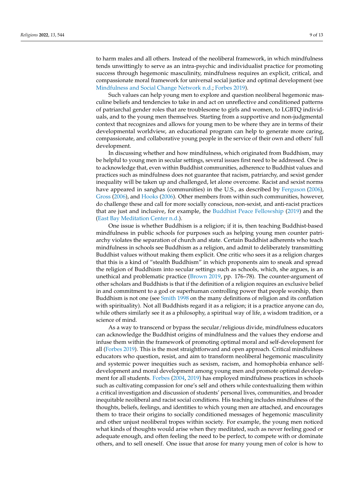to harm males and all others. Instead of the neoliberal framework, in which mindfulness tends unwittingly to serve as an intra-psychic and individualist practice for promoting success through hegemonic masculinity, mindfulness requires an explicit, critical, and compassionate moral framework for universal social justice and optimal development (see [Mindfulness and Social Change Network](#page-13-17) [n.d.;](#page-13-17) [Forbes](#page-12-18) [2019\)](#page-12-18).

Such values can help young men to explore and question neoliberal hegemonic masculine beliefs and tendencies to take in and act on unreflective and conditioned patterns of patriarchal gender roles that are troublesome to girls and women, to LGBTQ individuals, and to the young men themselves. Starting from a supportive and non-judgmental context that recognizes and allows for young men to be where they are in terms of their developmental worldview, an educational program can help to generate more caring, compassionate, and collaborative young people in the service of their own and others' full development.

In discussing whether and how mindfulness, which originated from Buddhism, may be helpful to young men in secular settings, several issues first need to be addressed. One is to acknowledge that, even within Buddhist communities, adherence to Buddhist values and practices such as mindfulness does not guarantee that racism, patriarchy, and sexist gender inequality will be taken up and challenged, let alone overcome. Racist and sexist norms have appeared in sanghas (communities) in the U.S., as described by [Ferguson](#page-12-20) [\(2006\)](#page-12-20), [Gross](#page-12-21) [\(2006\)](#page-12-21), and [Hooks](#page-12-22) [\(2006\)](#page-12-22). Other members from within such communities, however, do challenge these and call for more socially conscious, non-sexist, and anti-racist practices that are just and inclusive, for example, the [Buddhist Peace Fellowship](#page-12-23) [\(2019\)](#page-12-23) and the [\(East Bay Meditation Center](#page-12-24) [n.d.\)](#page-12-24).

One issue is whether Buddhism is a religion; if it is, then teaching Buddhist-based mindfulness in public schools for purposes such as helping young men counter patriarchy violates the separation of church and state. Certain Buddhist adherents who teach mindfulness in schools see Buddhism as a religion, and admit to deliberately transmitting Buddhist values without making them explicit. One critic who sees it as a religion charges that this is a kind of "stealth Buddhism" in which proponents aim to sneak and spread the religion of Buddhism into secular settings such as schools, which, she argues, is an unethical and problematic practice [\(Brown](#page-12-25) [2019,](#page-12-25) pp. 176–78). The counter-argument of other scholars and Buddhists is that if the definition of a religion requires an exclusive belief in and commitment to a god or superhuman controlling power that people worship, then Buddhism is not one (see [Smith](#page-13-18) [1998](#page-13-18) on the many definitions of religion and its conflation with spirituality). Not all Buddhists regard it as a religion; it is a practice anyone can do, while others similarly see it as a philosophy, a spiritual way of life, a wisdom tradition, or a science of mind.

As a way to transcend or bypass the secular/religious divide, mindfulness educators can acknowledge the Buddhist origins of mindfulness and the values they endorse and infuse them within the framework of promoting optimal moral and self-development for all [\(Forbes](#page-12-18) [2019\)](#page-12-18). This is the most straightforward and open approach. Critical mindfulness educators who question, resist, and aim to transform neoliberal hegemonic masculinity and systemic power inequities such as sexism, racism, and homophobia enhance selfdevelopment and moral development among young men and promote optimal development for all students. [Forbes](#page-12-1) [\(2004,](#page-12-1) [2019\)](#page-12-18) has employed mindfulness practices in schools such as cultivating compassion for one's self and others while contextualizing them within a critical investigation and discussion of students' personal lives, communities, and broader inequitable neoliberal and racist social conditions. His teaching includes mindfulness of the thoughts, beliefs, feelings, and identities to which young men are attached, and encourages them to trace their origins to socially conditioned messages of hegemonic masculinity and other unjust neoliberal tropes within society. For example, the young men noticed what kinds of thoughts would arise when they meditated, such as never feeling good or adequate enough, and often feeling the need to be perfect, to compete with or dominate others, and to sell oneself. One issue that arose for many young men of color is how to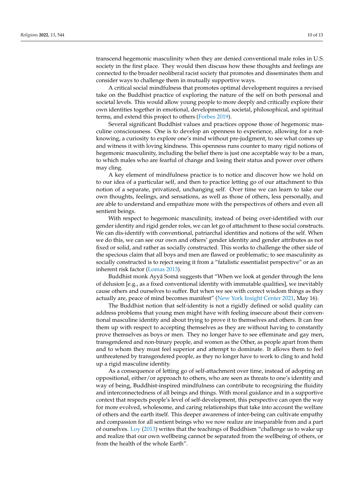transcend hegemonic masculinity when they are denied conventional male roles in U.S. society in the first place. They would then discuss how these thoughts and feelings are connected to the broader neoliberal racist society that promotes and disseminates them and consider ways to challenge them in mutually supportive ways.

A critical social mindfulness that promotes optimal development requires a revised take on the Buddhist practice of exploring the nature of the self on both personal and societal levels. This would allow young people to more deeply and critically explore their own identities together in emotional, developmental, societal, philosophical, and spiritual terms, and extend this project to others [\(Forbes](#page-12-18) [2019\)](#page-12-18).

Several significant Buddhist values and practices oppose those of hegemonic masculine consciousness. One is to develop an openness to experience, allowing for a notknowing, a curiosity to explore one's mind without pre-judgment, to see what comes up and witness it with loving kindness. This openness runs counter to many rigid notions of hegemonic masculinity, including the belief there is just one acceptable way to be a man, to which males who are fearful of change and losing their status and power over others may cling.

A key element of mindfulness practice is to notice and discover how we hold on to our idea of a particular self, and then to practice letting go of our attachment to this notion of a separate, privatized, unchanging self. Over time we can learn to take our own thoughts, feelings, and sensations, as well as those of others, less personally, and are able to understand and empathize more with the perspectives of others and even all sentient beings.

With respect to hegemonic masculinity, instead of being over-identified with our gender identity and rigid gender roles, we can let go of attachment to these social constructs. We can dis-identify with conventional, patriarchal identities and notions of the self. When we do this, we can see our own and others' gender identity and gender attributes as not fixed or solid, and rather as socially constructed. This works to challenge the other side of the specious claim that all boys and men are flawed or problematic; to see masculinity as socially constructed is to reject seeing it from a "fatalistic essentialist perspective" or as an inherent risk factor [\(Lomas](#page-12-14) [2013\)](#page-12-14).

Buddhist monk Ayyā Somā suggests that "When we look at gender through the lens of delusion [e.g., as a fixed conventional identity with immutable qualities], we inevitably cause others and ourselves to suffer. But when we see with correct wisdom things as they actually are, peace of mind becomes manifest" [\(New York Insight Center](#page-13-19) [2021,](#page-13-19) May 16).

The Buddhist notion that self-identity is not a rigidly defined or solid quality can address problems that young men might have with feeling insecure about their conventional masculine identity and about trying to prove it to themselves and others. It can free them up with respect to accepting themselves as they are without having to constantly prove themselves as boys or men. They no longer have to see effeminate and gay men, transgendered and non-binary people, and women as the Other, as people apart from them and to whom they must feel superior and attempt to dominate. It allows them to feel unthreatened by transgendered people, as they no longer have to work to cling to and hold up a rigid masculine identity.

As a consequence of letting go of self-attachment over time, instead of adopting an oppositional, either/or approach to others, who are seen as threats to one's identity and way of being, Buddhist-inspired mindfulness can contribute to recognizing the fluidity and interconnectedness of all beings and things. With moral guidance and in a supportive context that respects people's level of self-development, this perspective can open the way for more evolved, wholesome, and caring relationships that take into account the welfare of others and the earth itself. This deeper awareness of inter-being can cultivate empathy and compassion for all sentient beings who we now realize are inseparable from and a part of ourselves. [Loy](#page-13-20) [\(2013\)](#page-13-20) writes that the teachings of Buddhism "challenge us to wake up and realize that our own wellbeing cannot be separated from the wellbeing of others, or from the health of the whole Earth".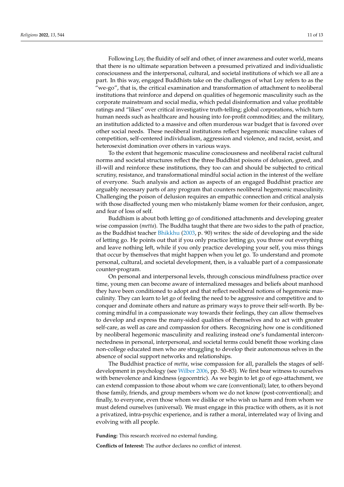Following Loy, the fluidity of self and other, of inner awareness and outer world, means that there is no ultimate separation between a presumed privatized and individualistic consciousness and the interpersonal, cultural, and societal institutions of which we all are a part. In this way, engaged Buddhists take on the challenges of what Loy refers to as the "we-go", that is, the critical examination and transformation of attachment to neoliberal institutions that reinforce and depend on qualities of hegemonic masculinity such as the corporate mainstream and social media, which pedal disinformation and value profitable ratings and "likes" over critical investigative truth-telling; global corporations, which turn human needs such as healthcare and housing into for-profit commodities; and the military, an institution addicted to a massive and often murderous war budget that is favored over other social needs. These neoliberal institutions reflect hegemonic masculine values of competition, self-centered individualism, aggression and violence, and racist, sexist, and heterosexist domination over others in various ways.

To the extent that hegemonic masculine consciousness and neoliberal racist cultural norms and societal structures reflect the three Buddhist poisons of delusion, greed, and ill-will and reinforce these institutions, they too can and should be subjected to critical scrutiny, resistance, and transformational mindful social action in the interest of the welfare of everyone. Such analysis and action as aspects of an engaged Buddhist practice are arguably necessary parts of any program that counters neoliberal hegemonic masculinity. Challenging the poison of delusion requires an empathic connection and critical analysis with those disaffected young men who mistakenly blame women for their confusion, anger, and fear of loss of self.

Buddhism is about both letting go of conditioned attachments and developing greater wise compassion (*metta*). The Buddha taught that there are two sides to the path of practice, as the Buddhist teacher [Bhikkhu](#page-12-26) [\(2003,](#page-12-26) p. 90) writes: the side of developing and the side of letting go. He points out that if you only practice letting go, you throw out everything and leave nothing left, while if you only practice developing your self, you miss things that occur by themselves that might happen when you let go. To understand and promote personal, cultural, and societal development, then, is a valuable part of a compassionate counter-program.

On personal and interpersonal levels, through conscious mindfulness practice over time, young men can become aware of internalized messages and beliefs about manhood they have been conditioned to adopt and that reflect neoliberal notions of hegemonic masculinity. They can learn to let go of feeling the need to be aggressive and competitive and to conquer and dominate others and nature as primary ways to prove their self-worth. By becoming mindful in a compassionate way towards their feelings, they can allow themselves to develop and express the many-sided qualities of themselves and to act with greater self-care, as well as care and compassion for others. Recognizing how one is conditioned by neoliberal hegemonic masculinity and realizing instead one's fundamental interconnectedness in personal, interpersonal, and societal terms could benefit those working class non-college educated men who are struggling to develop their autonomous selves in the absence of social support networks and relationships.

The Buddhist practice of *metta*, wise compassion for all, parallels the stages of selfdevelopment in psychology (see [Wilber](#page-13-21) [2006,](#page-13-21) pp. 50–83). We first bear witness to ourselves with benevolence and kindness (egocentric). As we begin to let go of ego-attachment, we can extend compassion to those about whom we care (conventional); later, to others beyond those family, friends, and group members whom we do not know (post-conventional); and finally, to everyone, even those whom we dislike or who wish us harm and from whom we must defend ourselves (universal). We must engage in this practice with others, as it is not a privatized, intra-psychic experience, and is rather a moral, interrelated way of living and evolving with all people.

**Funding:** This research received no external funding.

**Conflicts of Interest:** The author declares no conflict of interest.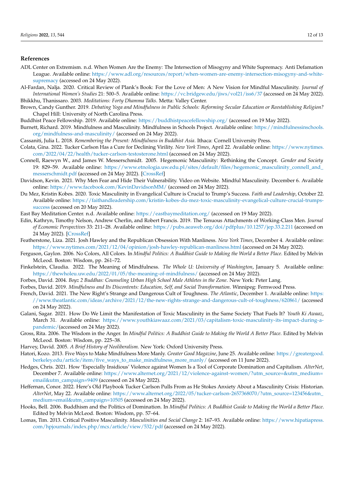# **References**

<span id="page-12-11"></span>ADL Center on Extremism. n.d. When Women Are the Enemy: The Intersection of Misogyny and White Supremacy. Anti Defamation League. Available online: [https://www.adl.org/resources/report/when-women-are-enemy-intersection-misogyny-and-white](https://www.adl.org/resources/report/when-women-are-enemy-intersection-misogyny-and-white-supremacy)[supremacy](https://www.adl.org/resources/report/when-women-are-enemy-intersection-misogyny-and-white-supremacy) (accessed on 24 May 2022).

<span id="page-12-0"></span>Al-Fardan, Nalja. 2020. Critical Review of Plank's Book: For the Love of Men: A New Vision for Mindful Masculinity. *Journal of International Women's Studies* 21: 500–5. Available online: <https://vc.bridgew.edu/jiws/vol21/iss6/37> (accessed on 24 May 2022). Bhikkhu, Thanissaro. 2003. *Meditations: Forty Dhamma Talks*. Metta: Valley Center.

- <span id="page-12-26"></span><span id="page-12-25"></span>Brown, Candy Gunther. 2019. *Debating Yoga and Mindfulness in Public Schools: Reforming Secular Education or Reestablishing Religion?* Chapel Hill: University of North Carolina Press.
- <span id="page-12-23"></span>Buddhist Peace Fellowship. 2019. Available online: <https://buddhistpeacefellowship.org/> (accessed on 19 May 2022).
- <span id="page-12-15"></span>Burnett, Richard. 2019. Mindfulness and Masculinity. Mindfulness in Schools Project. Available online: [https://mindfulnessinschools.](https://mindfulnessinschools.org/mindfulness-and-masculinity/) [org/mindfulness-and-masculinity/](https://mindfulnessinschools.org/mindfulness-and-masculinity/) (accessed on 24 May 2022).
- <span id="page-12-19"></span>Cassaniti, Julia L. 2018. *Remembering the Present: Mindfulness in Buddhist Asia*. Ithaca: Cornell University Press.
- <span id="page-12-8"></span>Colata, Gina. 2022. Tucker Carlson Has a Cure for Declining Virility. *New York Times*, April 22. Available online: [https://www.nytimes.](https://www.nytimes.com/2022/04/22/health/tucker-carlson-testosterone.html) [com/2022/04/22/health/tucker-carlson-testosterone.html](https://www.nytimes.com/2022/04/22/health/tucker-carlson-testosterone.html) (accessed on 24 May 2022).
- <span id="page-12-3"></span>Connell, Raewyn W., and James W. Messerschmidt. 2005. Hegemonic Masculinity: Rethinking the Concept. *Gender and Society* 19: 829–59. Available online: [https://www.etnologia.uw.edu.pl/sites/default/files/hegemonic\\_masculinity\\_connell\\_and\\_](https://www.etnologia.uw.edu.pl/sites/default/files/hegemonic_masculinity_connell_and_messerschmidt.pdf) [messerschmidt.pdf](https://www.etnologia.uw.edu.pl/sites/default/files/hegemonic_masculinity_connell_and_messerschmidt.pdf) (accessed on 24 May 2022). [\[CrossRef\]](http://doi.org/10.1177/0891243205278639)
- <span id="page-12-13"></span>Davidson, Kevin. 2021. Why Men Fear and Hide Their Vulnerability. Video on Website. Mindful Masculinity. December 6. Available online: <https://www.facebook.com/KevinDavidsonMM/> (accessed on 24 May 2022).
- <span id="page-12-10"></span>Du Mez, Kristin Kobes. 2020. Toxic Masculinity in Evangelical Culture is Crucial to Trump's Success. *Faith and Leadership*, October 22. Available online: [https://faithandleadership.com/kristin-kobes-du-mez-toxic-masculinity-evangelical-culture-crucial-trumps](https://faithandleadership.com/kristin-kobes-du-mez-toxic-masculinity-evangelical-culture-crucial-trumps-success)[success](https://faithandleadership.com/kristin-kobes-du-mez-toxic-masculinity-evangelical-culture-crucial-trumps-success) (accessed on 20 May 2022).
- <span id="page-12-24"></span>East Bay Meditation Center. n.d. Available online: <https://eastbaymeditation.org/> (accessed on 19 May 2022).
- <span id="page-12-6"></span>Edin, Kathryn, Timothy Nelson, Andrew Cherlin, and Robert Francis. 2019. The Tenuous Attachments of Working-Class Men. *Journal of Economic Perspectives* 33: 211–28. Available online: <https://pubs.aeaweb.org/doi/pdfplus/10.1257/jep.33.2.211> (accessed on 24 May 2022). [\[CrossRef\]](http://doi.org/10.1257/jep.33.2.211)
- <span id="page-12-12"></span>Featherstone, Liza. 2021. Josh Hawley and the Republican Obsession With Manliness. *New York Times*, December 4. Available online: <https://www.nytimes.com/2021/12/04/opinion/josh-hawley-republican-manliness.html> (accessed on 24 May 2022).
- <span id="page-12-20"></span>Ferguson, Gaylon. 2006. No Colors, All Colors. In *Mindful Politics: A Buddhist Guide to Making the World a Better Place*. Edited by Melvin McLeod. Boston: Wisdom, pp. 261–72.
- <span id="page-12-17"></span>Finkelstein, Claudia. 2022. The Meaning of Mindfulness. *The Whole U: University of Washington*, January 5. Available online: <https://thewholeu.uw.edu/2022/01/05/the-meaning-of-mindfulness/> (accessed on 24 May 2022).
- <span id="page-12-1"></span>Forbes, David. 2004. *Boyz 2 Buddhas: Counseling Urban High School Male Athletes in the Zone*. New York: Peter Lang.
- <span id="page-12-18"></span>Forbes, David. 2019. *Mindfulness and Its Discontents: Education, Self, and Social Transformation*. Winnipeg: Fernwood Press.
- <span id="page-12-7"></span>French, David. 2021. The New Right's Strange and Dangerous Cult of Toughness. *The Atlantic*, December 1. Available online: [https:](https://www.theatlantic.com/ideas/archive/2021/12/the-new-rights-strange-and-dangerous-cult-of-toughness/620861/) [//www.theatlantic.com/ideas/archive/2021/12/the-new-rights-strange-and-dangerous-cult-of-toughness/620861/](https://www.theatlantic.com/ideas/archive/2021/12/the-new-rights-strange-and-dangerous-cult-of-toughness/620861/) (accessed on 24 May 2022).
- <span id="page-12-5"></span>Galani, Sagar. 2021. How Do We Limit the Manifestation of Toxic Masculinity in the Same Society That Fuels It? *Youth Ki Awaaz*, March 31. Available online: [https://www.youthkiawaaz.com/2021/03/capitalism-toxic-masculinity-its-impact-during-a](https://www.youthkiawaaz.com/2021/03/capitalism-toxic-masculinity-its-impact-during-a-pandemic/)[pandemic/\(](https://www.youthkiawaaz.com/2021/03/capitalism-toxic-masculinity-its-impact-during-a-pandemic/)accessed on 24 May 2022).
- <span id="page-12-21"></span>Gross, Rita. 2006. The Wisdom in the Anger. In *Mindful Politics: A Buddhist Guide to Making the World A Better Place*. Edited by Melvin McLeod. Boston: Wisdom, pp. 225–38.
- <span id="page-12-2"></span>Harvey, David. 2005. *A Brief History of Neoliberalism*. New York: Oxford University Press.
- <span id="page-12-16"></span>Hatori, Kozo. 2013. Five Ways to Make Mindfulness More Manly. *Greater Good Magazine*, June 25. Available online: [https://greatergood.](https://greatergood.berkeley.edu/article/item/five_ways_to_make_mindfulness_more_manly/) [berkeley.edu/article/item/five\\_ways\\_to\\_make\\_mindfulness\\_more\\_manly/](https://greatergood.berkeley.edu/article/item/five_ways_to_make_mindfulness_more_manly/) (accessed on 11 June 2022).
- <span id="page-12-4"></span>Hedges, Chris. 2021. How 'Especially Insidious' Violence against Women Is a Tool of Corporate Domination and Capitalism. *AlterNet*, December 7. Available online: [https://www.alternet.org/2021/12/violence-against-women/?utm\\_source=&utm\\_medium=](https://www.alternet.org/2021/12/violence-against-women/?utm_source=&utm_medium=email&utm_campaign=9409) [email&utm\\_campaign=9409](https://www.alternet.org/2021/12/violence-against-women/?utm_source=&utm_medium=email&utm_campaign=9409) (accessed on 24 May 2022).
- <span id="page-12-9"></span>Heffernan, Conor. 2022. Here's Old Playbook Tucker Carlson Pulls From as He Stokes Anxiety About a Masculinity Crisis: Historian. *AlterNet*, May 22. Available online: [https://www.alternet.org/2022/05/tucker-carlson-2657368070/?utm\\_source=123456&utm\\_](https://www.alternet.org/2022/05/tucker-carlson-2657368070/?utm_source=123456&utm_medium=email&utm_campaign=10505) [medium=email&utm\\_campaign=10505](https://www.alternet.org/2022/05/tucker-carlson-2657368070/?utm_source=123456&utm_medium=email&utm_campaign=10505) (accessed on 24 May 2022).
- <span id="page-12-22"></span>Hooks, Bell. 2006. Buddhism and the Politics of Domination. In *Mindful Politics: A Buddhist Guide to Making the World a Better Place*. Edited by Melvin McLeod. Boston: Wisdom, pp. 57–64.
- <span id="page-12-14"></span>Lomas, Tim. 2013. Critical Positive Masculinity. *Masculinities and Social Change* 2: 167–93. Available online: [https://www.hipatiapress.](https://www.hipatiapress.com/hpjournals/index.php/mcs/article/view/532/pdf) [com/hpjournals/index.php/mcs/article/view/532/pdf](https://www.hipatiapress.com/hpjournals/index.php/mcs/article/view/532/pdf) (accessed on 24 May 2022).